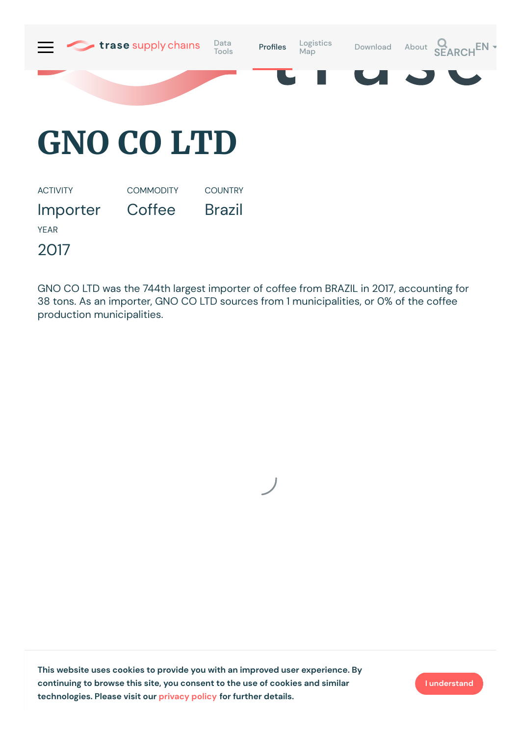

Importer **Coffee** Brazil

YEAR

2017

GNO CO LTD was the 744th largest importer of coffee from BRAZIL in 2017, accounting for 38 tons. As an importer, GNO CO LTD sources from 1 municipalities, or 0% of the coffee production municipalities.



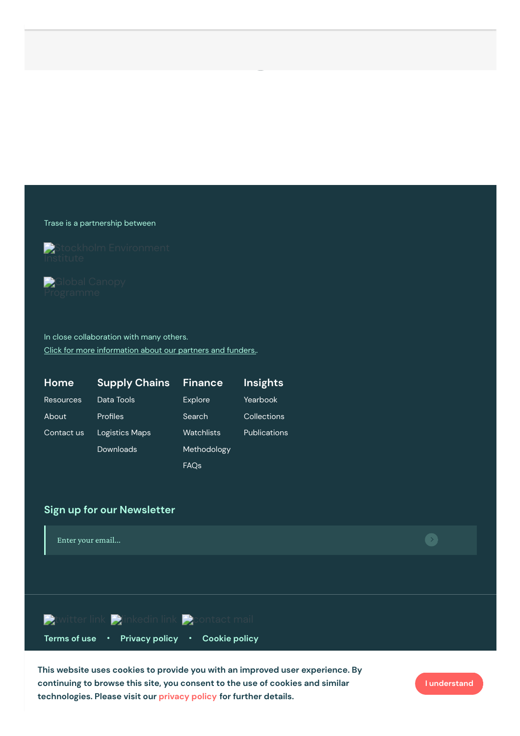Trase is a partnership between



**Global Canopy** 

In close collaboration with many others. Click for more [information](https://www.trase.earth/about/) about our partners and funders..

| Home             | <b>Supply Chains</b> | <b>Finance</b>   | <b>Insights</b>     |
|------------------|----------------------|------------------|---------------------|
| <b>Resources</b> | Data Tools           | Explore          | Yearbook            |
| About            | Profiles             | Search           | Collections         |
| Contact us       | Logistics Maps       | Watchlists       | <b>Publications</b> |
|                  | Downloads            | Methodology      |                     |
|                  |                      | FAQ <sub>s</sub> |                     |

## **Sign up for our Newsletter**



Gordon and Betty Moore [Foundation](https://www.moore.org/) **This website uses cookies to provide you with an improved user experience. By** Norway's [International](https://www.regjeringen.no/en/topics/climate-and-environment/climate/climate-and-forest-initiative/id2000712/) [Climate](https://www.trase.earth/privacy-policy) and Forest Initiative (NICFI) **technologies. Please visit our privacy policy for further details. continuing to browse this site, you consent to the use of cookies and similar**